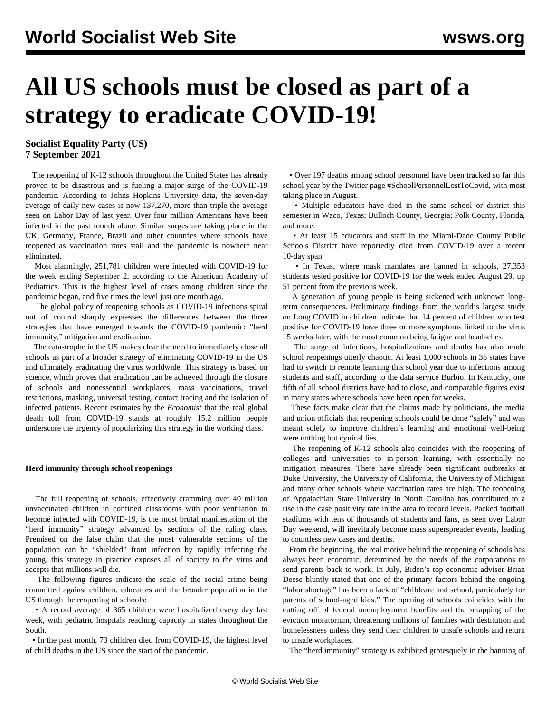# **All US schools must be closed as part of a strategy to eradicate COVID-19!**

**Socialist Equality Party (US) 7 September 2021**

 The reopening of K-12 schools throughout the United States has already proven to be disastrous and is fueling a major surge of the COVID-19 pandemic. According to Johns Hopkins University data, the seven-day average of daily new cases is now 137,270, more than triple the average seen on Labor Day of last year. Over four million Americans have been infected in the past month alone. Similar surges are taking place in the UK, Germany, France, Brazil and other countries where schools have reopened as vaccination rates stall and the pandemic is nowhere near eliminated.

 Most alarmingly, 251,781 children were infected with COVID-19 for the week ending September 2, according to the American Academy of Pediatrics. This is the highest level of cases among children since the pandemic began, and five times the level just one month ago.

 The global policy of reopening schools as COVID-19 infections spiral out of control sharply expresses the differences between the [three](/en/articles/2021/08/21/pers-a21.html) [strategies](/en/articles/2021/08/21/pers-a21.html) that have emerged towards the COVID-19 pandemic: "herd immunity," mitigation and eradication.

 The catastrophe in the US makes clear the need to immediately close all schools as part of a broader strategy of eliminating COVID-19 in the US and ultimately eradicating the virus worldwide. This strategy is based on science, which proves that eradication can be achieved through the closure of schools and nonessential workplaces, mass vaccinations, travel restrictions, masking, universal testing, contact tracing and the isolation of infected patients. Recent estimates by the *Economist* that the real global death toll from COVID-19 stands at roughly 15.2 million people underscore the urgency of popularizing this strategy in the working class.

### **Herd immunity through school reopenings**

 The full reopening of schools, effectively cramming over 40 million unvaccinated children in confined classrooms with poor ventilation to become infected with COVID-19, is the most brutal manifestation of the "herd immunity" strategy advanced by sections of the ruling class. Premised on the false claim that the most vulnerable sections of the population can be "shielded" from infection by rapidly infecting the young, this strategy in practice exposes all of society to the virus and accepts that millions will die.

 The following figures indicate the scale of the social crime being committed against children, educators and the broader population in the US through the reopening of schools:

 • A record average of 365 children were hospitalized every day last week, with pediatric hospitals reaching capacity in states throughout the South.

 • In the past month, 73 children died from COVID-19, the highest level of child deaths in the US since the start of the pandemic.

 • Over 197 deaths among school personnel have been tracked so far this school year by the Twitter page #SchoolPersonnelLostToCovid, with most taking place in August.

 • Multiple educators have died in the same school or district this semester in Waco, Texas; Bulloch County, Georgia; Polk County, Florida, and more.

 • At least 15 educators and staff in the Miami-Dade County Public Schools District have reportedly died from COVID-19 over a recent 10-day span.

 • In Texas, where mask mandates are banned in schools, 27,353 students tested positive for COVID-19 for the week ended August 29, up 51 percent from the previous week.

 A generation of young people is being sickened with unknown longterm consequences. [Preliminary findings](https://www.researchsquare.com/article/rs-798316/v1) from the world's largest study on Long COVID in children indicate that 14 percent of children who test positive for COVID-19 have three or more symptoms linked to the virus 15 weeks later, with the most common being fatigue and headaches.

 The surge of infections, hospitalizations and deaths has also made school reopenings utterly chaotic. At least 1,000 schools in 35 states have had to switch to remote learning this school year due to infections among students and staff, according to the data service Burbio. In Kentucky, one fifth of all school districts have had to close, and comparable figures exist in many states where schools have been open for weeks.

 These facts make clear that the claims made by politicians, the media and union officials that reopening schools could be done "safely" and was meant solely to improve children's learning and emotional well-being were nothing but cynical lies.

 The reopening of K-12 schools also coincides with the reopening of colleges and universities to in-person learning, with essentially no mitigation measures. There have already been significant outbreaks at Duke University, the University of California, the University of Michigan and many other schools where vaccination rates are high. The reopening of Appalachian State University in North Carolina has contributed to a rise in the case positivity rate in the area to record levels. Packed football stadiums with tens of thousands of students and fans, as seen over Labor Day weekend, will inevitably become mass superspreader events, leading to countless new cases and deaths.

 From the beginning, the real motive behind the reopening of schools has always been economic, determined by the needs of the corporations to send parents back to work. In July, Biden's top economic adviser Brian Deese bluntly stated that one of the primary factors behind the ongoing "labor shortage" has been a lack of "childcare and school, particularly for parents of school-aged kids." The opening of schools coincides with the cutting off of federal unemployment benefits and the scrapping of the eviction moratorium, threatening millions of families with destitution and homelessness unless they send their children to unsafe schools and return to unsafe workplaces.

The "herd immunity" strategy is exhibited grotesquely in the banning of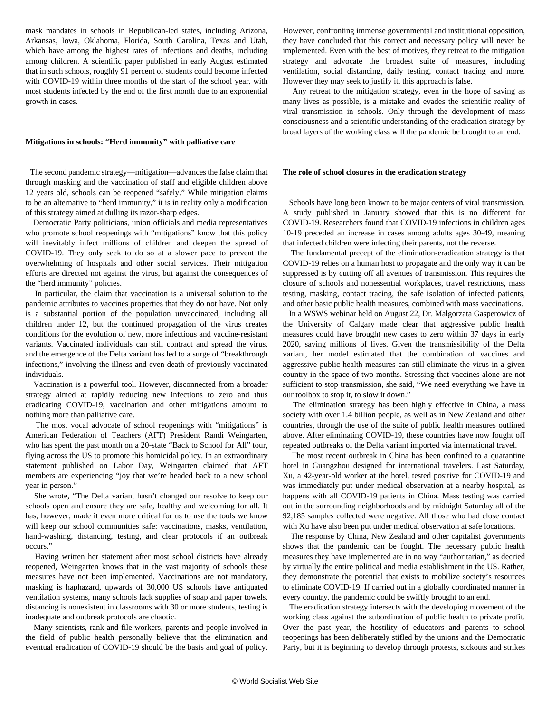mask mandates in schools in Republican-led states, including Arizona, Arkansas, Iowa, Oklahoma, Florida, South Carolina, Texas and Utah, which have among the highest rates of infections and deaths, including among children. A [scientific paper](https://www.medrxiv.org/content/10.1101/2021.08.10.21261726v1) published in early August estimated that in such schools, roughly 91 percent of students could become infected with COVID-19 within three months of the start of the school year, with most students infected by the end of the first month due to an exponential growth in cases.

### **Mitigations in schools: "Herd immunity" with palliative care**

 The second pandemic strategy—mitigation—advances the false claim that through masking and the vaccination of staff and eligible children above 12 years old, schools can be reopened "safely." While mitigation claims to be an alternative to "herd immunity," it is in reality only a modification of this strategy aimed at dulling its razor-sharp edges.

 Democratic Party politicians, union officials and media representatives who promote school reopenings with "mitigations" know that this policy will inevitably infect millions of children and deepen the spread of COVID-19. They only seek to do so at a slower pace to prevent the overwhelming of hospitals and other social services. Their mitigation efforts are directed not against the virus, but against the consequences of the "herd immunity" policies.

 In particular, the claim that vaccination is a universal solution to the pandemic attributes to vaccines properties that they do not have. Not only is a substantial portion of the population unvaccinated, including all children under 12, but the continued propagation of the virus creates conditions for the evolution of new, more infectious and vaccine-resistant variants. Vaccinated individuals can still contract and spread the virus, and the emergence of the Delta variant has led to a surge of "breakthrough infections," involving the illness and even death of previously vaccinated individuals.

 Vaccination is a powerful tool. However, disconnected from a broader strategy aimed at rapidly reducing new infections to zero and thus eradicating COVID-19, vaccination and other mitigations amount to nothing more than palliative care.

 The most vocal advocate of school reopenings with "mitigations" is American Federation of Teachers (AFT) President Randi Weingarten, who has spent the past month on a 20-state "Back to School for All" tour, flying across the US to promote this homicidal policy. In an extraordinary statement published on Labor Day, Weingarten claimed that AFT members are experiencing "joy that we're headed back to a new school year in person."

 She wrote, "The Delta variant hasn't changed our resolve to keep our schools open and ensure they are safe, healthy and welcoming for all. It has, however, made it even more critical for us to use the tools we know will keep our school communities safe: vaccinations, masks, ventilation, hand-washing, distancing, testing, and clear protocols if an outbreak occurs."

 Having written her statement after most school districts have already reopened, Weingarten knows that in the vast majority of schools these measures have not been implemented. Vaccinations are not mandatory, masking is haphazard, upwards of 30,000 US schools have antiquated ventilation systems, many schools lack supplies of soap and paper towels, distancing is nonexistent in classrooms with 30 or more students, testing is inadequate and outbreak protocols are chaotic.

 Many scientists, rank-and-file workers, parents and people involved in the field of public health personally believe that the elimination and eventual eradication of COVID-19 should be the basis and goal of policy.

However, confronting immense governmental and institutional opposition, they have concluded that this correct and necessary policy will never be implemented. Even with the best of motives, they retreat to the mitigation strategy and advocate the broadest suite of measures, including ventilation, social distancing, daily testing, contact tracing and more. However they may seek to justify it, this approach is false.

 Any retreat to the mitigation strategy, even in the hope of saving as many lives as possible, is a mistake and evades the scientific reality of viral transmission in schools. Only through the development of mass consciousness and a scientific understanding of the eradication strategy by broad layers of the working class will the pandemic be brought to an end.

#### **The role of school closures in the eradication strategy**

 Schools have long been known to be major centers of viral transmission. A [study](https://www.researchgate.net/publication/348418238_Enfants_ecoles_et_COVID-19_le_cas_montrealais) published in January showed that this is no different for COVID-19. Researchers found that COVID-19 infections in children ages 10-19 preceded an increase in cases among adults ages 30-49, meaning that infected children were infecting their parents, not the reverse.

 The fundamental precept of the elimination-eradication strategy is that COVID-19 relies on a human host to propagate and the only way it can be suppressed is by cutting off all avenues of transmission. This requires the closure of schools and nonessential workplaces, travel restrictions, mass testing, masking, contact tracing, the safe isolation of infected patients, and other basic public health measures, combined with mass vaccinations.

 In a [WSWS webinar](/en/special/pages/global-strategy-stop-pandemic-save-lives.html) held on August 22, Dr. Malgorzata Gasperowicz of the University of Calgary made clear that aggressive public health measures could have brought new cases to zero within 37 days in early 2020, saving millions of lives. Given the transmissibility of the Delta variant, her model estimated that the combination of vaccines and aggressive public health measures can still eliminate the virus in a given country in the space of two months. Stressing that vaccines alone are not sufficient to stop transmission, she said, "We need everything we have in our toolbox to stop it, to slow it down."

 The elimination strategy has been highly effective in China, a mass society with over 1.4 billion people, as well as in New Zealand and other countries, through the use of the suite of public health measures outlined above. After eliminating COVID-19, these countries have now fought off repeated outbreaks of the Delta variant imported via international travel.

 The most recent outbreak in China has been confined to a quarantine hotel in Guangzhou designed for international travelers. Last Saturday, Xu, a 42-year-old worker at the hotel, tested positive for COVID-19 and was immediately put under medical observation at a nearby hospital, as happens with all COVID-19 patients in China. Mass testing was carried out in the surrounding neighborhoods and by midnight Saturday all of the 92,185 samples collected were negative. All those who had close contact with Xu have also been put under medical observation at safe locations.

 The response by China, New Zealand and other capitalist governments shows that the pandemic can be fought. The necessary public health measures they have implemented are in no way "authoritarian," as decried by virtually the entire political and media establishment in the US. Rather, they demonstrate the potential that exists to mobilize society's resources to eliminate COVID-19. If carried out in a globally coordinated manner in every country, the pandemic could be swiftly brought to an end.

 The eradication strategy intersects with the developing movement of the working class against the subordination of public health to private profit. Over the past year, the hostility of educators and parents to school reopenings has been deliberately stifled by the unions and the Democratic Party, but it is beginning to develop through protests, sickouts and strikes